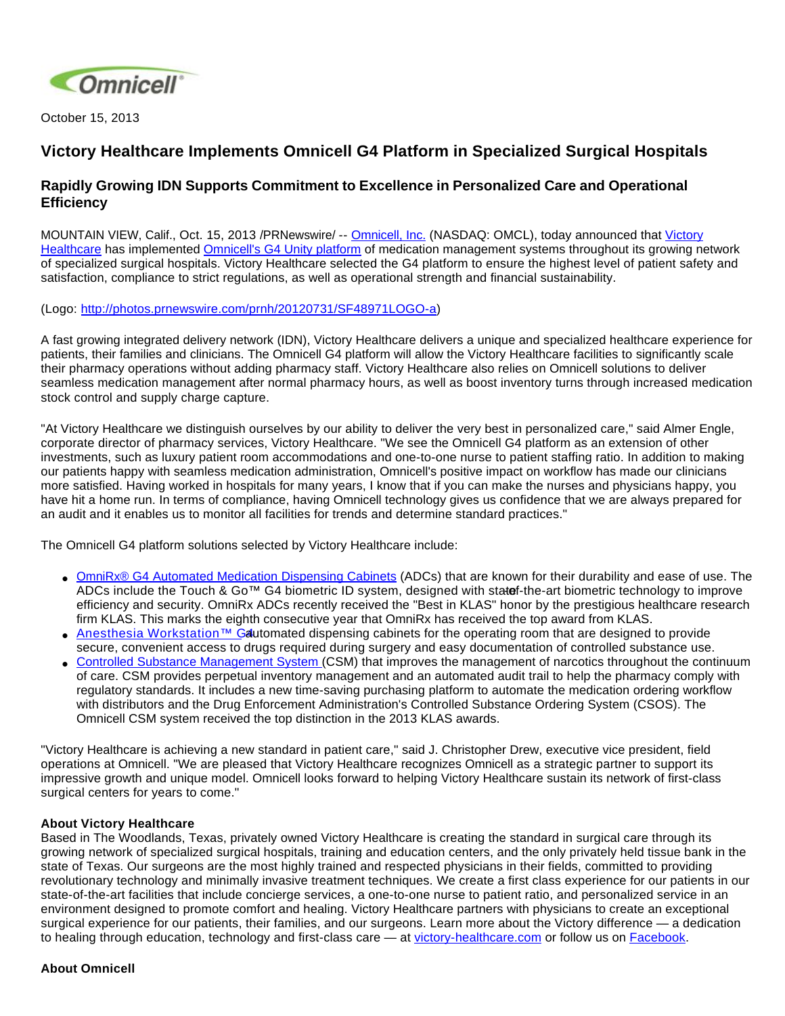

October 15, 2013

## **Victory Healthcare Implements Omnicell G4 Platform in Specialized Surgical Hospitals**

## **Rapidly Growing IDN Supports Commitment to Excellence in Personalized Care and Operational Efficiency**

MOUNTAIN VIEW, Calif., Oct. 15, 2013 /PRNewswire/ -- [Omnicell, Inc.](http://www.omnicell.com/) (NASDAQ: OMCL), today announced that [Victory](http://victory-healthcare.com/)  [Healthcare](http://victory-healthcare.com/) has implemented [Omnicell's G4 Unity platform](http://www.omnicell.com/Products/Medication_Dispensing/Automated_Medication_Dispensing_Cabinets.aspx) of medication management systems throughout its growing network of specialized surgical hospitals. Victory Healthcare selected the G4 platform to ensure the highest level of patient safety and satisfaction, compliance to strict regulations, as well as operational strength and financial sustainability.

(Logo: [http://photos.prnewswire.com/prnh/20120731/SF48971LOGO-a\)](http://photos.prnewswire.com/prnh/20120731/SF48971LOGO-a)

A fast growing integrated delivery network (IDN), Victory Healthcare delivers a unique and specialized healthcare experience for patients, their families and clinicians. The Omnicell G4 platform will allow the Victory Healthcare facilities to significantly scale their pharmacy operations without adding pharmacy staff. Victory Healthcare also relies on Omnicell solutions to deliver seamless medication management after normal pharmacy hours, as well as boost inventory turns through increased medication stock control and supply charge capture.

"At Victory Healthcare we distinguish ourselves by our ability to deliver the very best in personalized care," said Almer Engle, corporate director of pharmacy services, Victory Healthcare. "We see the Omnicell G4 platform as an extension of other investments, such as luxury patient room accommodations and one-to-one nurse to patient staffing ratio. In addition to making our patients happy with seamless medication administration, Omnicell's positive impact on workflow has made our clinicians more satisfied. Having worked in hospitals for many years, I know that if you can make the nurses and physicians happy, you have hit a home run. In terms of compliance, having Omnicell technology gives us confidence that we are always prepared for an audit and it enables us to monitor all facilities for trends and determine standard practices."

The Omnicell G4 platform solutions selected by Victory Healthcare include:

- [OmniRx® G4 Automated Medication Dispensing Cabinets](http://www.omnicell.com/Products/Medication_Dispensing/Automated_Medication_Dispensing_Cabinets.aspx) (ADCs) that are known for their durability and ease of use. The ADCs include the Touch & Go<sup>™</sup> G4 biometric ID system, designed with statef-the-art biometric technology to improve efficiency and security. OmniRx ADCs recently received the "Best in KLAS" honor by the prestigious healthcare research firm KLAS. This marks the eighth consecutive year that OmniRx has received the top award from KLAS.
- •Anesthesia Workstation<sup>™</sup> Gautomated dispensing cabinets for the operating room that are designed to provide secure, convenient access to drugs required during surgery and easy documentation of controlled substance use.
- [Controlled Substance Management System](http://www.omnicell.com/Products/Central_Pharmacy_Automation/Controlled_Substance_Management_System.aspx) (CSM) that improves the management of narcotics throughout the continuum of care. CSM provides perpetual inventory management and an automated audit trail to help the pharmacy comply with regulatory standards. It includes a new time-saving purchasing platform to automate the medication ordering workflow with distributors and the Drug Enforcement Administration's Controlled Substance Ordering System (CSOS). The Omnicell CSM system received the top distinction in the 2013 KLAS awards.

"Victory Healthcare is achieving a new standard in patient care," said J. Christopher Drew, executive vice president, field operations at Omnicell. "We are pleased that Victory Healthcare recognizes Omnicell as a strategic partner to support its impressive growth and unique model. Omnicell looks forward to helping Victory Healthcare sustain its network of first-class surgical centers for years to come."

## **About Victory Healthcare**

Based in The Woodlands, Texas, privately owned Victory Healthcare is creating the standard in surgical care through its growing network of specialized surgical hospitals, training and education centers, and the only privately held tissue bank in the state of Texas. Our surgeons are the most highly trained and respected physicians in their fields, committed to providing revolutionary technology and minimally invasive treatment techniques. We create a first class experience for our patients in our state-of-the-art facilities that include concierge services, a one-to-one nurse to patient ratio, and personalized service in an environment designed to promote comfort and healing. Victory Healthcare partners with physicians to create an exceptional surgical experience for our patients, their families, and our surgeons. Learn more about the Victory difference — a dedication to healing through education, technology and first-class care — at [victory-healthcare.com](http://victory-healthcare.com/) or follow us on [Facebook.](https://www.facebook.com/victoryhealthcare)

## **About Omnicell**